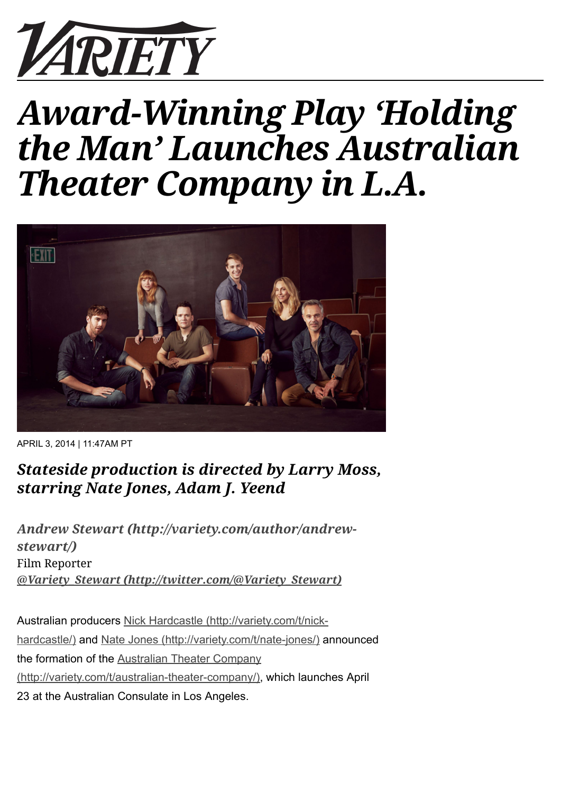

## *Award-Winning Play 'Holding the Man' Launches Australian Theater Company in L.A.*



APRIL 3, 2014 | 11:47AM PT

## *Stateside production is directed by Larry Moss, starring Nate Jones, Adam J. Yeend*

*[Andrew Stewart \(http://variety.com/author/andrew](http://variety.com/author/andrew-stewart/)stewart/)* Film Reporter *[@Variety\\_Stewart \(http://twitter.com/@Variety\\_Stewart\)](http://twitter.com/@Variety_Stewart)*

Australian producers Nick Hardcastle (http://variety.com/t/nick[hardcastle/\) and Nate Jones \(http://variety.com/t/nate-jones/\) a](http://variety.com/t/nick-hardcastle/)nnounced the formation of the Australian Theater Company [\(http://variety.com/t/australian-theater-company/\),](http://variety.com/t/australian-theater-company/) which launches April 23 at the Australian Consulate in Los Angeles.